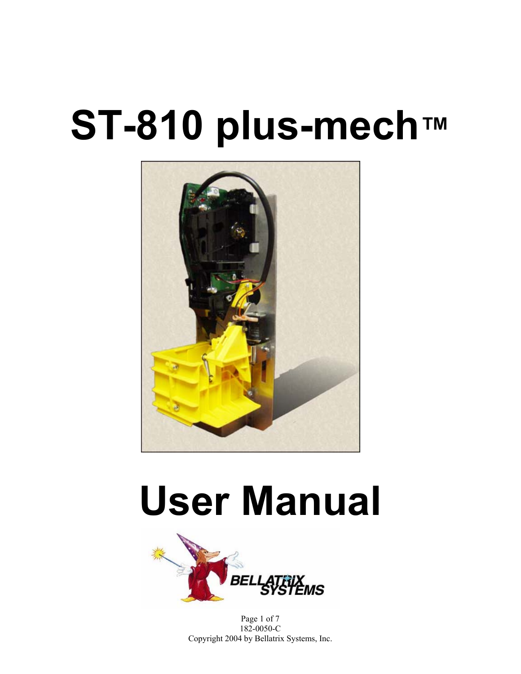# **ST-810 plus-mech™**



# **User Manual**



Page 1 of 7 182-0050-C Copyright 2004 by Bellatrix Systems, Inc.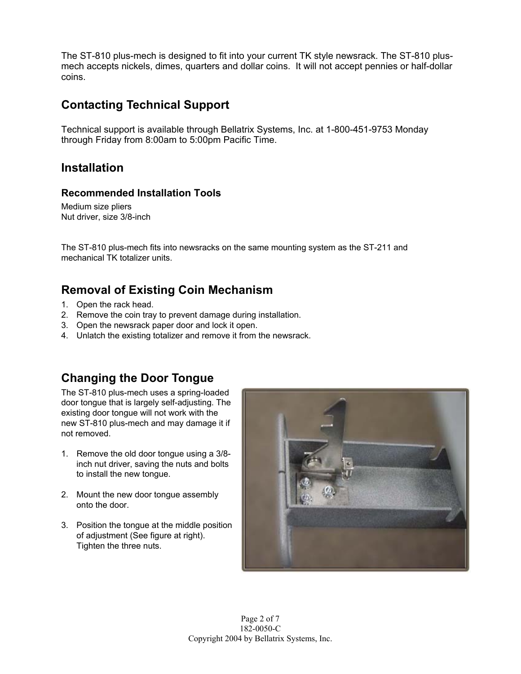The ST-810 plus-mech is designed to fit into your current TK style newsrack. The ST-810 plusmech accepts nickels, dimes, quarters and dollar coins. It will not accept pennies or half-dollar coins.

## **Contacting Technical Support**

Technical support is available through Bellatrix Systems, Inc. at 1-800-451-9753 Monday through Friday from 8:00am to 5:00pm Pacific Time.

#### **Installation**

#### **Recommended Installation Tools**

Medium size pliers Nut driver, size 3/8-inch

The ST-810 plus-mech fits into newsracks on the same mounting system as the ST-211 and mechanical TK totalizer units.

#### **Removal of Existing Coin Mechanism**

- 1. Open the rack head.
- 2. Remove the coin tray to prevent damage during installation.
- 3. Open the newsrack paper door and lock it open.
- 4. Unlatch the existing totalizer and remove it from the newsrack.

# **Changing the Door Tongue**

The ST-810 plus-mech uses a spring-loaded door tongue that is largely self-adjusting. The existing door tongue will not work with the new ST-810 plus-mech and may damage it if not removed.

- 1. Remove the old door tongue using a 3/8 inch nut driver, saving the nuts and bolts to install the new tongue.
- 2. Mount the new door tongue assembly onto the door.
- 3. Position the tongue at the middle position of adjustment (See figure at right). Tighten the three nuts.

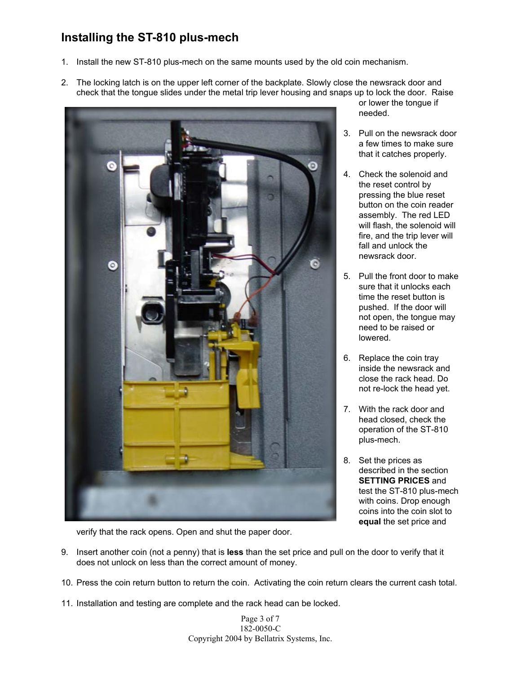# **Installing the ST-810 plus-mech**

- 1. Install the new ST-810 plus-mech on the same mounts used by the old coin mechanism.
- 2. The locking latch is on the upper left corner of the backplate. Slowly close the newsrack door and check that the tongue slides under the metal trip lever housing and snaps up to lock the door. Raise



or lower the tongue if needed.

- 3. Pull on the newsrack door a few times to make sure that it catches properly.
- 4. Check the solenoid and the reset control by pressing the blue reset button on the coin reader assembly. The red LED will flash, the solenoid will fire, and the trip lever will fall and unlock the newsrack door.
- 5. Pull the front door to make sure that it unlocks each time the reset button is pushed. If the door will not open, the tongue may need to be raised or lowered.
- 6. Replace the coin tray inside the newsrack and close the rack head. Do not re-lock the head yet.
- 7. With the rack door and head closed, check the operation of the ST-810 plus-mech.
- 8. Set the prices as described in the section **SETTING PRICES** and test the ST-810 plus-mech with coins. Drop enough coins into the coin slot to **equal** the set price and

verify that the rack opens. Open and shut the paper door.

- 9. Insert another coin (not a penny) that is **less** than the set price and pull on the door to verify that it does not unlock on less than the correct amount of money.
- 10. Press the coin return button to return the coin. Activating the coin return clears the current cash total.
- 11. Installation and testing are complete and the rack head can be locked.

Page 3 of 7 182-0050-C Copyright 2004 by Bellatrix Systems, Inc.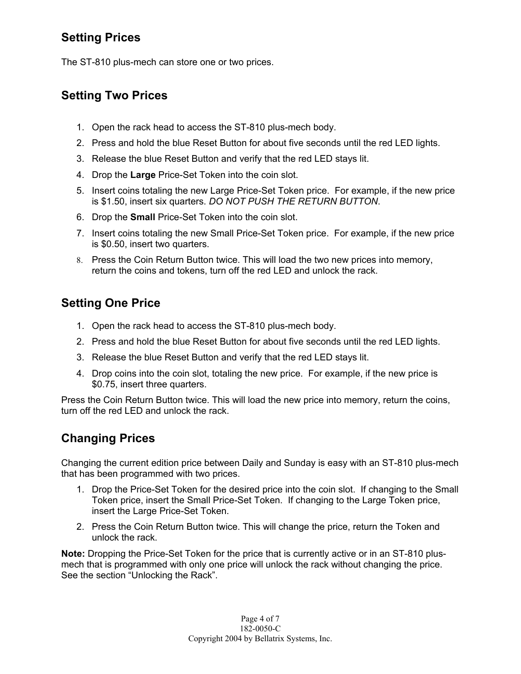# **Setting Prices**

The ST-810 plus-mech can store one or two prices.

## **Setting Two Prices**

- 1. Open the rack head to access the ST-810 plus-mech body.
- 2. Press and hold the blue Reset Button for about five seconds until the red LED lights.
- 3. Release the blue Reset Button and verify that the red LED stays lit.
- 4. Drop the **Large** Price-Set Token into the coin slot.
- 5. Insert coins totaling the new Large Price-Set Token price. For example, if the new price is \$1.50, insert six quarters. *DO NOT PUSH THE RETURN BUTTON*.
- 6. Drop the **Small** Price-Set Token into the coin slot.
- 7. Insert coins totaling the new Small Price-Set Token price. For example, if the new price is \$0.50, insert two quarters.
- 8. Press the Coin Return Button twice. This will load the two new prices into memory, return the coins and tokens, turn off the red LED and unlock the rack.

# **Setting One Price**

- 1. Open the rack head to access the ST-810 plus-mech body.
- 2. Press and hold the blue Reset Button for about five seconds until the red LED lights.
- 3. Release the blue Reset Button and verify that the red LED stays lit.
- 4. Drop coins into the coin slot, totaling the new price. For example, if the new price is \$0.75, insert three quarters.

Press the Coin Return Button twice. This will load the new price into memory, return the coins, turn off the red LED and unlock the rack.

# **Changing Prices**

Changing the current edition price between Daily and Sunday is easy with an ST-810 plus-mech that has been programmed with two prices.

- 1. Drop the Price-Set Token for the desired price into the coin slot. If changing to the Small Token price, insert the Small Price-Set Token. If changing to the Large Token price, insert the Large Price-Set Token.
- 2. Press the Coin Return Button twice. This will change the price, return the Token and unlock the rack.

**Note:** Dropping the Price-Set Token for the price that is currently active or in an ST-810 plusmech that is programmed with only one price will unlock the rack without changing the price. See the section "Unlocking the Rack".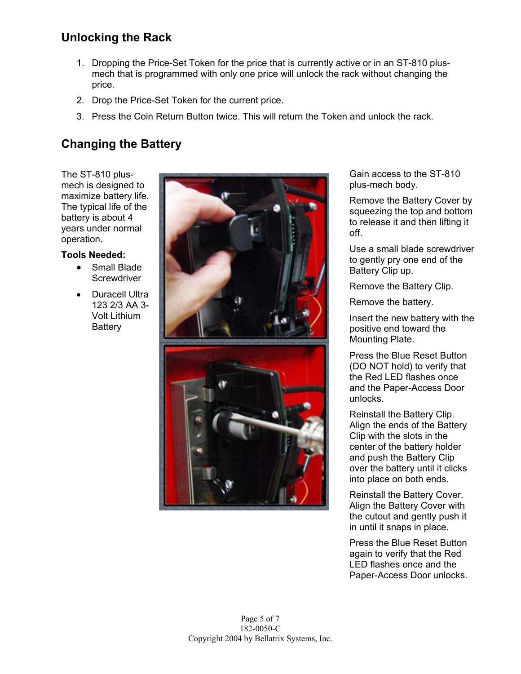# **Unlocking the Rack**

- 1. Dropping the Price-Set Token for the price that is currently active or in an ST-810 plusmech that is programmed with only one price will unlock the rack without changing the price.
- 2. Drop the Price-Set Token for the current price.
- 3. Press the Coin Return Button twice. This will return the Token and unlock the rack.

# **Changing the Battery**

The ST-810 plusmech is designed to maximize battery life. The typical life of the battery is about 4 years under normal operation.

#### **Tools Needed:**

- Small Blade **Screwdriver**
- Duracell Ultra 123 2/3 AA 3- Volt Lithium **Battery**



Gain access to the ST-810 plus-mech body.

Remove the Battery Cover by squeezing the top and bottom to release it and then lifting it off.

Use a small blade screwdriver to gently pry one end of the Battery Clip up.

Remove the Battery Clip.

Remove the battery.

Insert the new battery with the positive end toward the Mounting Plate.

Press the Blue Reset Button (DO NOT hold) to verify that the Red LED flashes once and the Paper-Access Door unlocks.

Reinstall the Battery Clip. Align the ends of the Battery Clip with the slots in the center of the battery holder and push the Battery Clip over the battery until it clicks into place on both ends.

Reinstall the Battery Cover. Align the Battery Cover with the cutout and gently push it in until it snaps in place.

Press the Blue Reset Button again to verify that the Red LED flashes once and the Paper-Access Door unlocks.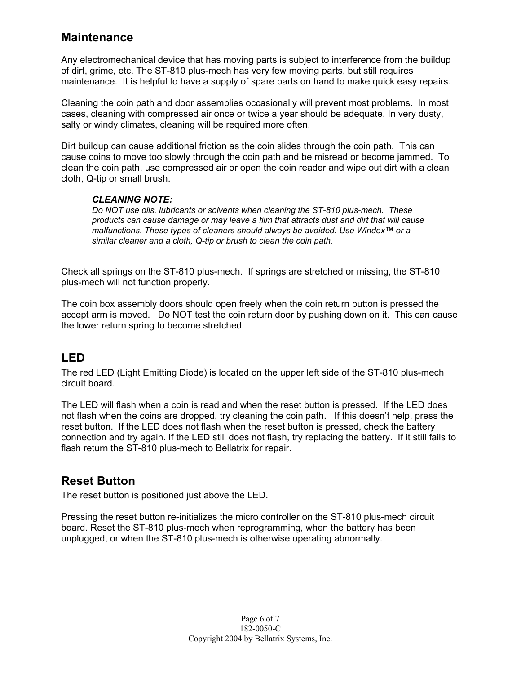#### **Maintenance**

Any electromechanical device that has moving parts is subject to interference from the buildup of dirt, grime, etc. The ST-810 plus-mech has very few moving parts, but still requires maintenance. It is helpful to have a supply of spare parts on hand to make quick easy repairs.

Cleaning the coin path and door assemblies occasionally will prevent most problems. In most cases, cleaning with compressed air once or twice a year should be adequate. In very dusty, salty or windy climates, cleaning will be required more often.

Dirt buildup can cause additional friction as the coin slides through the coin path. This can cause coins to move too slowly through the coin path and be misread or become jammed. To clean the coin path, use compressed air or open the coin reader and wipe out dirt with a clean cloth, Q-tip or small brush.

#### *CLEANING NOTE:*

*Do NOT use oils, lubricants or solvents when cleaning the ST-810 plus-mech. These products can cause damage or may leave a film that attracts dust and dirt that will cause malfunctions. These types of cleaners should always be avoided. Use Windex™ or a similar cleaner and a cloth, Q-tip or brush to clean the coin path.* 

Check all springs on the ST-810 plus-mech. If springs are stretched or missing, the ST-810 plus-mech will not function properly.

The coin box assembly doors should open freely when the coin return button is pressed the accept arm is moved. Do NOT test the coin return door by pushing down on it. This can cause the lower return spring to become stretched.

## **LED**

The red LED (Light Emitting Diode) is located on the upper left side of the ST-810 plus-mech circuit board.

The LED will flash when a coin is read and when the reset button is pressed. If the LED does not flash when the coins are dropped, try cleaning the coin path. If this doesn't help, press the reset button. If the LED does not flash when the reset button is pressed, check the battery connection and try again. If the LED still does not flash, try replacing the battery. If it still fails to flash return the ST-810 plus-mech to Bellatrix for repair.

#### **Reset Button**

The reset button is positioned just above the LED.

Pressing the reset button re-initializes the micro controller on the ST-810 plus-mech circuit board. Reset the ST-810 plus-mech when reprogramming, when the battery has been unplugged, or when the ST-810 plus-mech is otherwise operating abnormally.